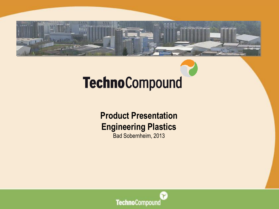

# **TechnoCompound**

#### **Product Presentation Engineering Plastics** Bad Sobernheim, 2013

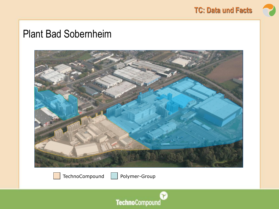

#### Plant Bad Sobernheim



TechnoCompound

Polymer-Group

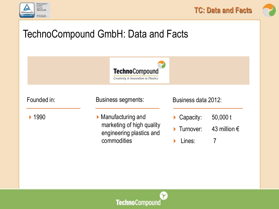







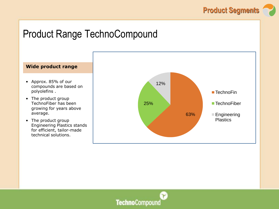

#### Product Range TechnoCompound



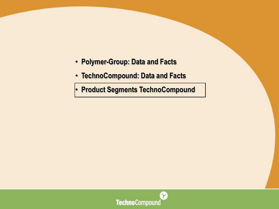- • **Polymer-Group: Data and Facts**
- • **TechnoCompound: Data and Facts**

• **Product Segments TechnoCompound**

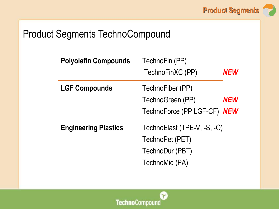

## Product Segments TechnoCompound

| <b>Polyolefin Compounds</b> | TechnoFin (PP)              |            |
|-----------------------------|-----------------------------|------------|
|                             | TechnoFinXC (PP)            | <b>NEW</b> |
| <b>LGF Compounds</b>        | TechnoFiber (PP)            |            |
|                             | TechnoGreen (PP)            | NEW        |
|                             | TechnoForce (PP LGF-CF) NEW |            |
| <b>Engineering Plastics</b> | TechnoElast (TPE-V, -S, -O) |            |
|                             | TechnoPet (PET)             |            |
|                             | TechnoDur (PBT)             |            |
|                             | TechnoMid (PA)              |            |

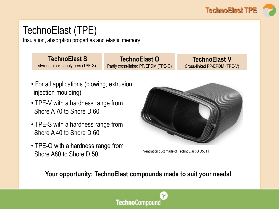

## TechnoElast (TPE)

Insulation, absorption properties and elastic memory

**TechnoElast S** styrene block copolymers (TPE-S)

**TechnoElast O** Partly cross-linked PP/EPDM (TPE-O)

**TechnoElast V** Cross-linked PP/EPDM (TPE-V)

- For all applications (blowing, extrusion, injection moulding)
- TPE-V with a hardness range from Shore A 70 to Shore D 60
- TPE-S with a hardness range from Shore A 40 to Shore D 60
- TPE-O with a hardness range from Shore A80 to Shore D 50



Ventilation duct made of TechnoElast O D5011

**Your opportunity: TechnoElast compounds made to suit your needs!** 

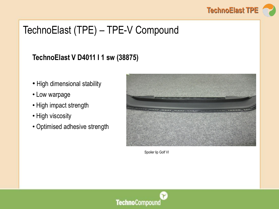

## TechnoElast (TPE) – TPE-V Compound

#### **TechnoElast V D4011 I 1 sw (38875)**

- High dimensional stability
- Low warpage
- High impact strength
- High viscosity
- Optimised adhesive strength



Spoiler lip Golf VI

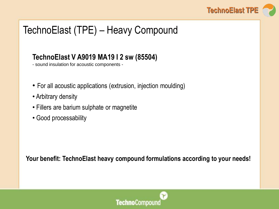

## TechnoElast (TPE) – Heavy Compound

#### **TechnoElast V A9019 MA19 I 2 sw (85504)**

- sound insulation for acoustic components -

- For all acoustic applications (extrusion, injection moulding)
- Arbitrary density
- Fillers are barium sulphate or magnetite
- Good processability

**Your benefit: TechnoElast heavy compound formulations according to your needs!**

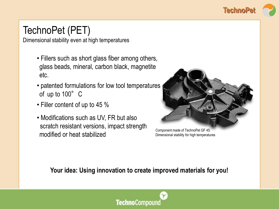

## TechnoPet (PET)

Dimensional stability even at high temperatures

- Fillers such as short glass fiber among others, glass beads, mineral, carbon black, magnetite etc.
- patented formulations for low tool temperatures of up to 100° C
- Filler content of up to 45 %
- Modifications such as UV, FR but also scratch resistant versions, impact strength modified or heat stabilized



Component made of TechnoPet GF 45: Dimensional stability for high temperatures

**Your idea: Using innovation to create improved materials for you!**

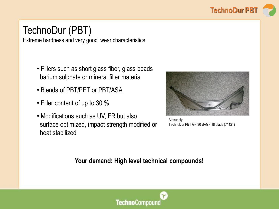

## TechnoDur (PBT)

Extreme hardness and very good wear characteristics

- Fillers such as short glass fiber, glass beads barium sulphate or mineral filler material
- Blends of PBT/PET or PBT/ASA
- Filler content of up to 30 %
- Modifications such as UV, FR but also surface optimized, impact strength modified or heat stabilized



Air supply TechnoDur PBT GF 30 BAGF 18 black (71121)

**Your demand: High level technical compounds!**

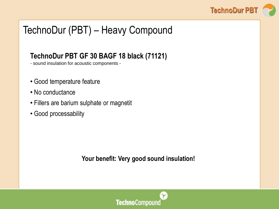

## TechnoDur (PBT) – Heavy Compound

#### **TechnoDur PBT GF 30 BAGF 18 black (71121)**

- sound insulation for acoustic components -

- Good temperature feature
- No conductance
- Fillers are barium sulphate or magnetit
- Good processability

**Your benefit: Very good sound insulation!**

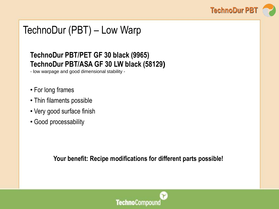

## TechnoDur (PBT) – Low Warp

#### **TechnoDur PBT/PET GF 30 black (9965) TechnoDur PBT/ASA GF 30 LW black (58129)**

- low warpage and good dimensional stability -

- For long frames
- Thin filaments possible
- Very good surface finish
- Good processability

**Your benefit: Recipe modifications for different parts possible!**

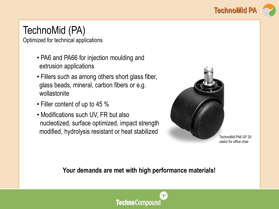

## TechnoMid (PA)

Optimized for technical applications

- PA6 and PA66 for injection moulding and extrusion applications
- Fillers such as among others short glass fiber, glass beads, mineral, carbon fibers or e.g. wollastonite
- Filler content of up to 45 %
- Modifications such UV, FR but also nucleotized, surface optimized, impact strength modified, hydrolysis resistant or heat stabilized



TechnoMid PA6 GF 20 castor for office chair

#### **Your demands are met with high performance materials!**